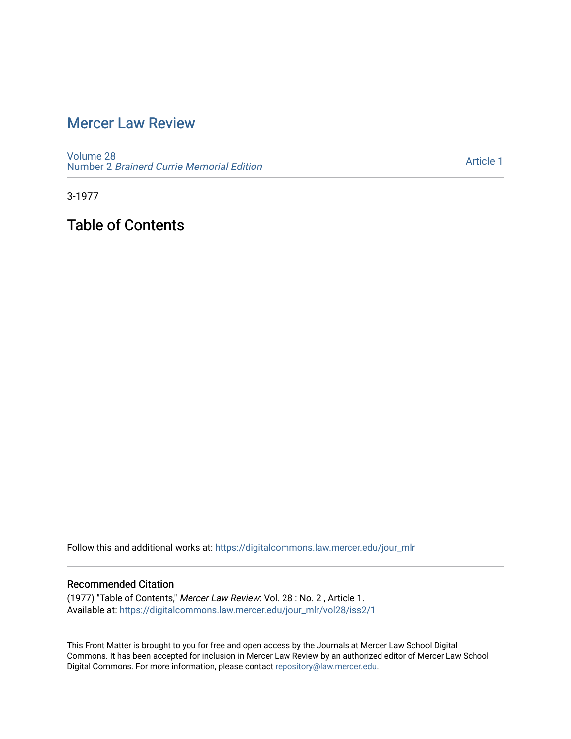## [Mercer Law Review](https://digitalcommons.law.mercer.edu/jour_mlr)

[Volume 28](https://digitalcommons.law.mercer.edu/jour_mlr/vol28) Number 2 [Brainerd Currie Memorial Edition](https://digitalcommons.law.mercer.edu/jour_mlr/vol28/iss2) 

[Article 1](https://digitalcommons.law.mercer.edu/jour_mlr/vol28/iss2/1) 

3-1977

Table of Contents

Follow this and additional works at: [https://digitalcommons.law.mercer.edu/jour\\_mlr](https://digitalcommons.law.mercer.edu/jour_mlr?utm_source=digitalcommons.law.mercer.edu%2Fjour_mlr%2Fvol28%2Fiss2%2F1&utm_medium=PDF&utm_campaign=PDFCoverPages)

### Recommended Citation

(1977) "Table of Contents," Mercer Law Review: Vol. 28 : No. 2 , Article 1. Available at: [https://digitalcommons.law.mercer.edu/jour\\_mlr/vol28/iss2/1](https://digitalcommons.law.mercer.edu/jour_mlr/vol28/iss2/1?utm_source=digitalcommons.law.mercer.edu%2Fjour_mlr%2Fvol28%2Fiss2%2F1&utm_medium=PDF&utm_campaign=PDFCoverPages)

This Front Matter is brought to you for free and open access by the Journals at Mercer Law School Digital Commons. It has been accepted for inclusion in Mercer Law Review by an authorized editor of Mercer Law School Digital Commons. For more information, please contact [repository@law.mercer.edu](mailto:repository@law.mercer.edu).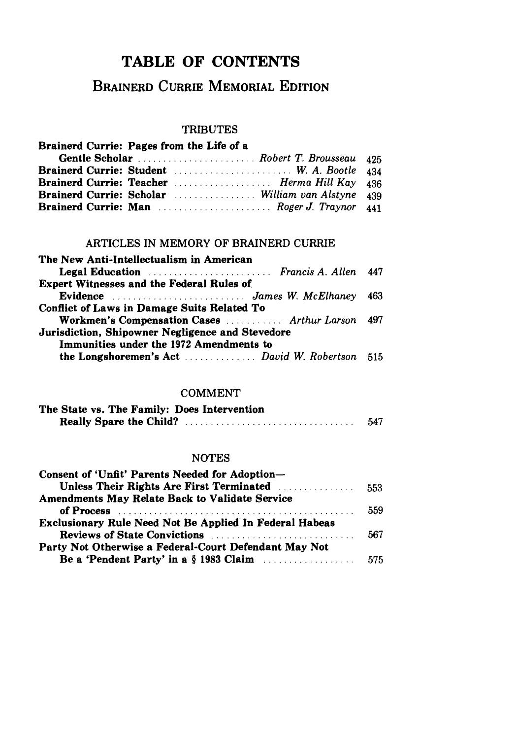## TABLE OF **CONTENTS**

### BRAINERD CURRIE MEMORIAL EDITION

# TRIBUTES

| Brainerd Currie: Pages from the Life of a        |  |
|--------------------------------------------------|--|
|                                                  |  |
| <b>Brainerd Currie: Student</b> W. A. Bootle 434 |  |
|                                                  |  |
|                                                  |  |
| <b>Brainerd Currie: Man</b> Roger J. Traynor 441 |  |

### ARTICLES **IN** MEMORY OF BRAINERD CURRIE

| The New Anti-Intellectualism in American           |  |
|----------------------------------------------------|--|
| <b>Legal Education</b> Francis A. Allen 447        |  |
| <b>Expert Witnesses and the Federal Rules of</b>   |  |
|                                                    |  |
| <b>Conflict of Laws in Damage Suits Related To</b> |  |
| Workmen's Compensation Cases  Arthur Larson 497    |  |
| Jurisdiction, Shipowner Negligence and Stevedore   |  |
| Immunities under the 1972 Amendments to            |  |
| the Longshoremen's Act  David W. Robertson 515     |  |

### COMMENT

| The State vs. The Family: Does Intervention |     |
|---------------------------------------------|-----|
|                                             | 547 |

### NOTES

| Consent of 'Unfit' Parents Needed for Adoption-                                                      |     |
|------------------------------------------------------------------------------------------------------|-----|
| Unless Their Rights Are First Terminated <b>Election</b> Theory of Their Rights Are First Terminated | 553 |
| <b>Amendments May Relate Back to Validate Service</b>                                                |     |
|                                                                                                      | 559 |
| <b>Exclusionary Rule Need Not Be Applied In Federal Habeas</b>                                       |     |
| <b>Reviews of State Convictions <i>Property Library Algebrair</i></b>                                | 567 |
| Party Not Otherwise a Federal-Court Defendant May Not                                                |     |
|                                                                                                      |     |